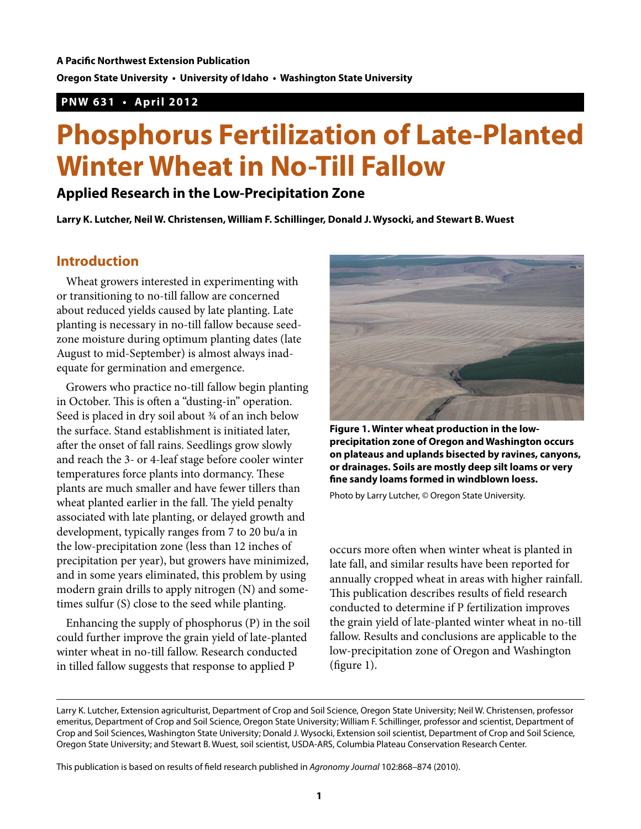**Oregon State University • University of Idaho • Washington State University**

## **PNW 631 • April 2012**

## **Phosphorus Fertilization of Late-Planted Winter Wheat in No-Till Fallow**

## **Applied Research in the Low-Precipitation Zone**

**Larry K. Lutcher, Neil W. Christensen, William F. Schillinger, Donald J. Wysocki, and Stewart B. Wuest**

## **Introduction**

Wheat growers interested in experimenting with or transitioning to no-till fallow are concerned about reduced yields caused by late planting. Late planting is necessary in no-till fallow because seedzone moisture during optimum planting dates (late August to mid-September) is almost always inadequate for germination and emergence.

Growers who practice no-till fallow begin planting in October. This is often a "dusting-in" operation. Seed is placed in dry soil about 34 of an inch below the surface. Stand establishment is initiated later, after the onset of fall rains. Seedlings grow slowly and reach the 3- or 4-leaf stage before cooler winter temperatures force plants into dormancy. These plants are much smaller and have fewer tillers than wheat planted earlier in the fall. The yield penalty associated with late planting, or delayed growth and development, typically ranges from 7 to 20 bu/a in the low-precipitation zone (less than 12 inches of precipitation per year), but growers have minimized, and in some years eliminated, this problem by using modern grain drills to apply nitrogen (N) and sometimes sulfur (S) close to the seed while planting.

Enhancing the supply of phosphorus (P) in the soil could further improve the grain yield of late-planted winter wheat in no-till fallow. Research conducted in tilled fallow suggests that response to applied P



**Figure 1. Winter wheat production in the lowprecipitation zone of Oregon and Washington occurs on plateaus and uplands bisected by ravines, canyons, or drainages. Soils are mostly deep silt loams or very fine sandy loams formed in windblown loess.**

Photo by Larry Lutcher, © Oregon State University.

occurs more often when winter wheat is planted in late fall, and similar results have been reported for annually cropped wheat in areas with higher rainfall. This publication describes results of field research conducted to determine if P fertilization improves the grain yield of late-planted winter wheat in no-till fallow. Results and conclusions are applicable to the low-precipitation zone of Oregon and Washington (figure 1).

This publication is based on results of field research published in *Agronomy Journal* 102:868–874 (2010).

Larry K. Lutcher, Extension agriculturist, Department of Crop and Soil Science, Oregon State University; Neil W. Christensen, professor emeritus, Department of Crop and Soil Science, Oregon State University; William F. Schillinger, professor and scientist, Department of Crop and Soil Sciences, Washington State University; Donald J. Wysocki, Extension soil scientist, Department of Crop and Soil Science, Oregon State University; and Stewart B. Wuest, soil scientist, USDA-ARS, Columbia Plateau Conservation Research Center.